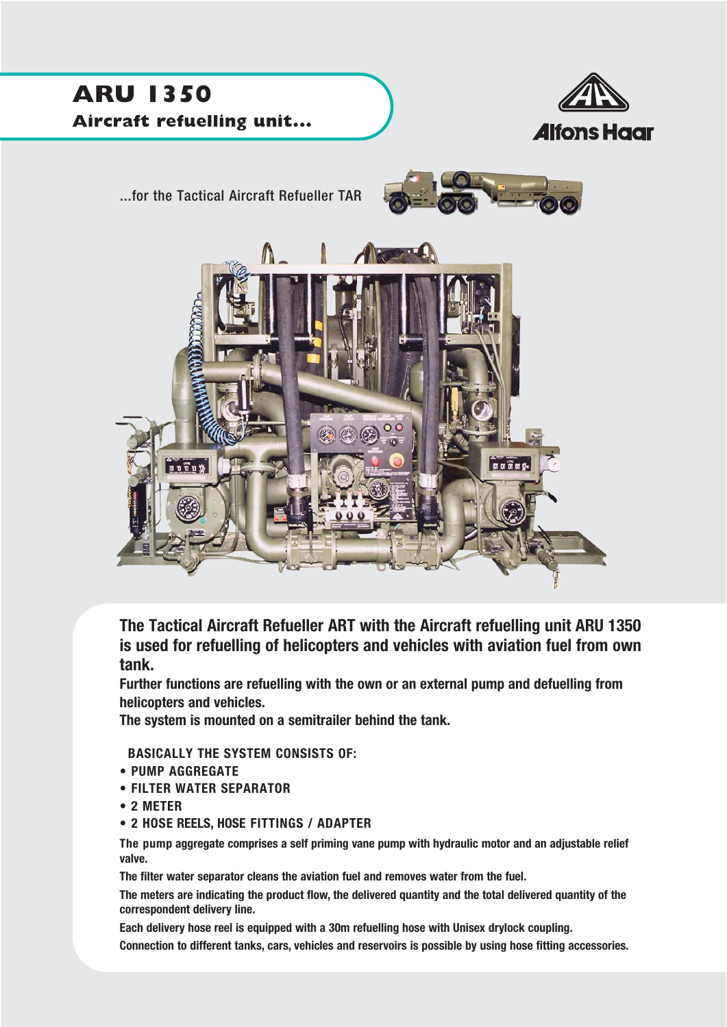

**The Tactical Aircraft Refueller ART with the Aircraft refuelling unit ARU 1350 is used for refuelling of helicopters and vehicles with aviation fuel from own tank.**

**Further functions are refuelling with the own or an external pump and defuelling from helicopters and vehicles.**

**The system is mounted on a semitrailer behind the tank.**

**BASICALLY THE SYSTEM CONSISTS OF:**

- **PUMP AGGREGATE**
- **FILTER WATER SEPARATOR**
- **2 METER**
- **2 HOSE REELS, HOSE FITTINGS / ADAPTER**

**The pump aggregate comprises a self priming vane pump with hydraulic motor and an adjustable relief valve.** 

**The filter water separator cleans the aviation fuel and removes water from the fuel.**

**The meters are indicating the product flow, the delivered quantity and the total delivered quantity of the correspondent delivery line.**

**Each delivery hose reel is equipped with a 30m refuelling hose with Unisex drylock coupling.** 

**Connection to different tanks, cars, vehicles and reservoirs is possible by using hose fitting accessories.**